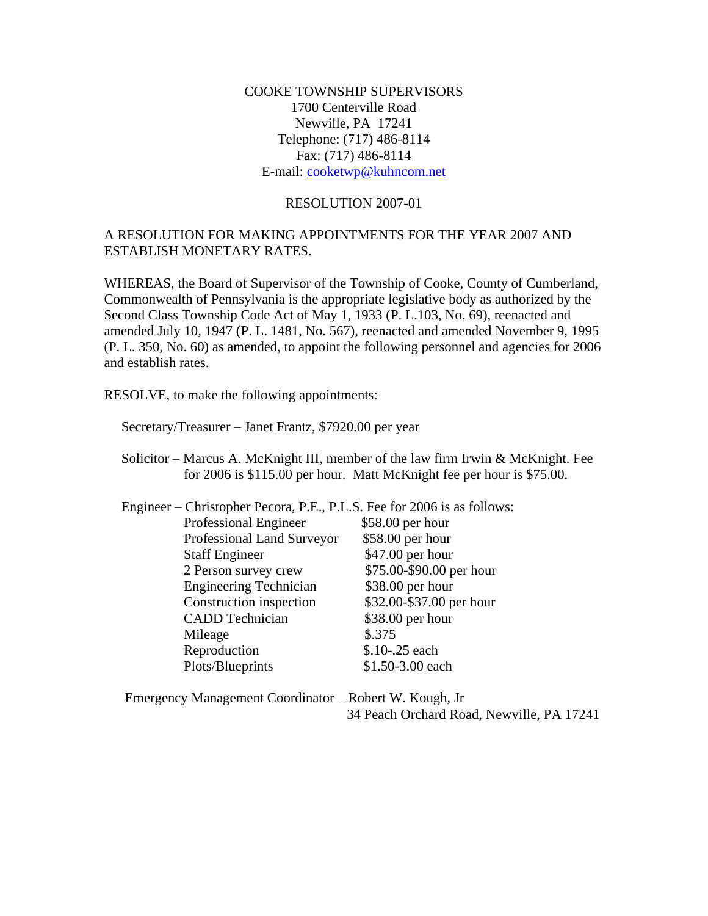COOKE TOWNSHIP SUPERVISORS 1700 Centerville Road Newville, PA 17241 Telephone: (717) 486-8114 Fax: (717) 486-8114 E-mail: [cooketwp@kuhncom.net](mailto:cooketwp@kuhncom.net)

## RESOLUTION 2007-01

## A RESOLUTION FOR MAKING APPOINTMENTS FOR THE YEAR 2007 AND ESTABLISH MONETARY RATES.

WHEREAS, the Board of Supervisor of the Township of Cooke, County of Cumberland, Commonwealth of Pennsylvania is the appropriate legislative body as authorized by the Second Class Township Code Act of May 1, 1933 (P. L.103, No. 69), reenacted and amended July 10, 1947 (P. L. 1481, No. 567), reenacted and amended November 9, 1995 (P. L. 350, No. 60) as amended, to appoint the following personnel and agencies for 2006 and establish rates.

RESOLVE, to make the following appointments:

Secretary/Treasurer – Janet Frantz, \$7920.00 per year

 Solicitor – Marcus A. McKnight III, member of the law firm Irwin & McKnight. Fee for 2006 is \$115.00 per hour. Matt McKnight fee per hour is \$75.00.

| Engineer – Christopher Pecora, P.E., P.L.S. Fee for 2006 is as follows: |                          |  |
|-------------------------------------------------------------------------|--------------------------|--|
| Professional Engineer                                                   | \$58.00 per hour         |  |
| Professional Land Surveyor                                              | \$58.00 per hour         |  |
| <b>Staff Engineer</b>                                                   | \$47.00 per hour         |  |
| 2 Person survey crew                                                    | \$75.00-\$90.00 per hour |  |
| <b>Engineering Technician</b>                                           | \$38.00 per hour         |  |
| Construction inspection                                                 | \$32.00-\$37.00 per hour |  |
| <b>CADD</b> Technician                                                  | \$38.00 per hour         |  |
| Mileage                                                                 | \$.375                   |  |
| Reproduction                                                            | \$.10-.25 each           |  |
| Plots/Blueprints                                                        | \$1.50-3.00 each         |  |

 Emergency Management Coordinator – Robert W. Kough, Jr 34 Peach Orchard Road, Newville, PA 17241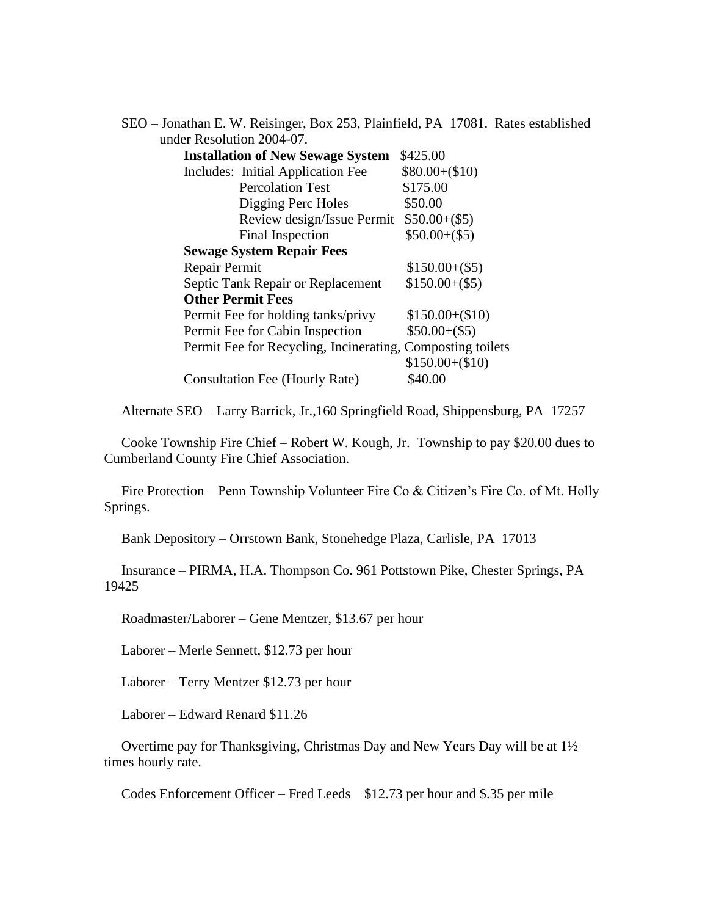| SEO – Jonathan E. W. Reisinger, Box 253, Plainfield, PA 17081. Rates established |                 |
|----------------------------------------------------------------------------------|-----------------|
| under Resolution 2004-07.                                                        |                 |
| <b>Installation of New Sewage System</b>                                         | \$425.00        |
| Includes: Initial Application Fee                                                | $$80.00+($10)$  |
| <b>Percolation Test</b>                                                          | \$175.00        |
| Digging Perc Holes                                                               | \$50.00         |
| Review design/Issue Permit                                                       | $$50.00+($5)$   |
| Final Inspection                                                                 | $$50.00+($5)$   |
| <b>Sewage System Repair Fees</b>                                                 |                 |
| Repair Permit                                                                    | $$150.00+($5)$  |
| Septic Tank Repair or Replacement                                                | $$150.00+($5)$  |
| <b>Other Permit Fees</b>                                                         |                 |
| Permit Fee for holding tanks/privy                                               | $$150.00+($10)$ |
| Permit Fee for Cabin Inspection                                                  | $$50.00+($5)$   |
| Permit Fee for Recycling, Incinerating, Composting toilets                       |                 |
|                                                                                  | $$150.00+($10)$ |
| Consultation Fee (Hourly Rate)                                                   | \$40.00         |

Alternate SEO – Larry Barrick, Jr.,160 Springfield Road, Shippensburg, PA 17257

 Cooke Township Fire Chief – Robert W. Kough, Jr. Township to pay \$20.00 dues to Cumberland County Fire Chief Association.

 Fire Protection – Penn Township Volunteer Fire Co & Citizen's Fire Co. of Mt. Holly Springs.

Bank Depository – Orrstown Bank, Stonehedge Plaza, Carlisle, PA 17013

 Insurance – PIRMA, H.A. Thompson Co. 961 Pottstown Pike, Chester Springs, PA 19425

Roadmaster/Laborer – Gene Mentzer, \$13.67 per hour

Laborer – Merle Sennett, \$12.73 per hour

Laborer – Terry Mentzer \$12.73 per hour

Laborer – Edward Renard \$11.26

 Overtime pay for Thanksgiving, Christmas Day and New Years Day will be at 1½ times hourly rate.

Codes Enforcement Officer – Fred Leeds \$12.73 per hour and \$.35 per mile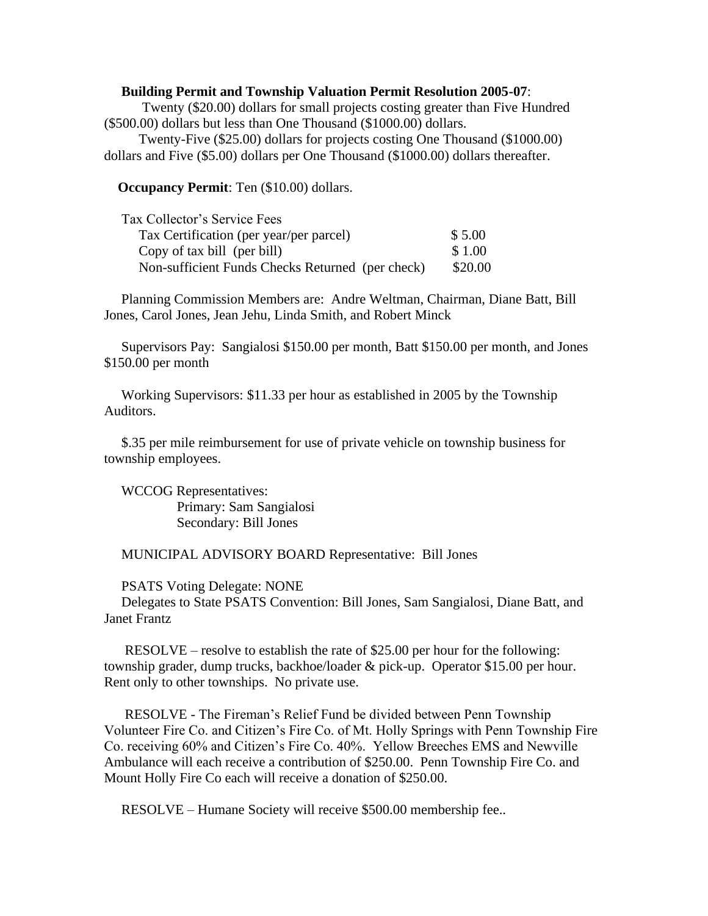## **Building Permit and Township Valuation Permit Resolution 2005-07**:

 Twenty (\$20.00) dollars for small projects costing greater than Five Hundred (\$500.00) dollars but less than One Thousand (\$1000.00) dollars.

 Twenty-Five (\$25.00) dollars for projects costing One Thousand (\$1000.00) dollars and Five (\$5.00) dollars per One Thousand (\$1000.00) dollars thereafter.

**Occupancy Permit**: Ten (\$10.00) dollars.

| Tax Collector's Service Fees                     |         |
|--------------------------------------------------|---------|
| Tax Certification (per year/per parcel)          | \$5.00  |
| Copy of tax bill (per bill)                      |         |
| Non-sufficient Funds Checks Returned (per check) | \$20.00 |

 Planning Commission Members are: Andre Weltman, Chairman, Diane Batt, Bill Jones, Carol Jones, Jean Jehu, Linda Smith, and Robert Minck

 Supervisors Pay: Sangialosi \$150.00 per month, Batt \$150.00 per month, and Jones \$150.00 per month

 Working Supervisors: \$11.33 per hour as established in 2005 by the Township Auditors.

 \$.35 per mile reimbursement for use of private vehicle on township business for township employees.

 WCCOG Representatives: Primary: Sam Sangialosi Secondary: Bill Jones

MUNICIPAL ADVISORY BOARD Representative: Bill Jones

PSATS Voting Delegate: NONE

 Delegates to State PSATS Convention: Bill Jones, Sam Sangialosi, Diane Batt, and Janet Frantz

 RESOLVE – resolve to establish the rate of \$25.00 per hour for the following: township grader, dump trucks, backhoe/loader & pick-up. Operator \$15.00 per hour. Rent only to other townships. No private use.

 RESOLVE - The Fireman's Relief Fund be divided between Penn Township Volunteer Fire Co. and Citizen's Fire Co. of Mt. Holly Springs with Penn Township Fire Co. receiving 60% and Citizen's Fire Co. 40%. Yellow Breeches EMS and Newville Ambulance will each receive a contribution of \$250.00. Penn Township Fire Co. and Mount Holly Fire Co each will receive a donation of \$250.00.

RESOLVE – Humane Society will receive \$500.00 membership fee..